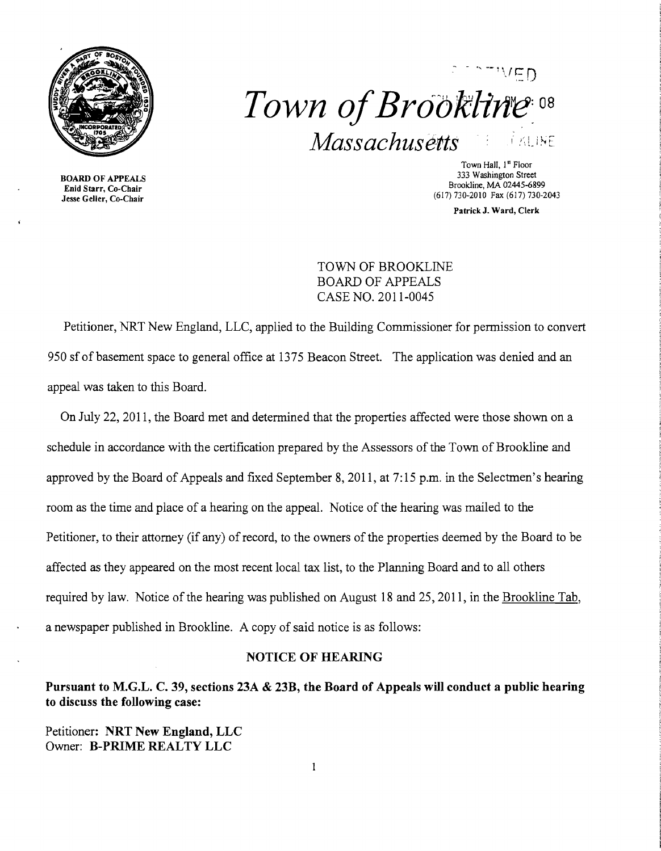

BOARD OF APPEALS Enid Starr, Co-Chair Jesse Geller, Co-Chair



Town Hall, 1st Floor 333 Washington Street Brookline, MA 02445-6899 (617) 730-2010 Fax (617) 730-2043

PatrickJ. Ward, Clerk

TOWN OF BROOKLINE BOARD OF APPEALS CASE NO. 2011-0045

Petitioner, NRT New England, LLC, applied to the Building Commissioner for permission to convert 950 sf of basement space to general office at 1375 Beacon Street. The application was denied and an appeal was taken to this Board.

On July 22,2011, the Board met and determined that the properties affected were those shown on a schedule in accordance with the certification prepared by the Assessors of the Town of Brookline and approved by the Board of Appeals and fixed September 8, 2011, at 7: 15 p.m. in the Selectmen's hearing room as the time and place of a hearing on the appeal. Notice of the hearing was mailed to the Petitioner, to their attorney (if any) of record, to the owners of the properties deemed by the Board to be affected as they appeared on the most recent local tax list, to the Planning Board and to all others required by law. Notice of the hearing was published on August 18 and 25, 2011, in the Brookline Tab, a newspaper published in Brookline. A copy of said notice is as follows:

#### NOTICE OF HEARING

Pursuant to M.G.L. C. 39, sections 23A & 23B, the Board of Appeals will conduct a public hearing to discuss the following case:

Petitioner: NRT New England, LLC Owner: B-PRIME REALTY LLC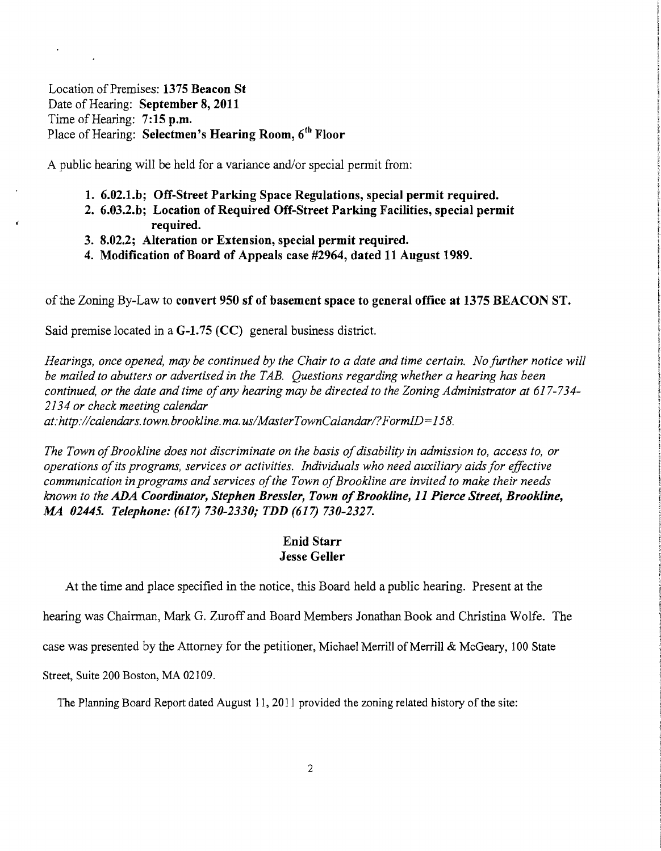Location of Premises: 1375 Beacon St Date of Hearing: September 8, 2011 Time of Hearing: 7:15 p.m. Place of Hearing: Selectmen's Hearing Room, 6<sup>th</sup> Floor

A public hearing will be held for a variance and/or special permit from:

- 1. 6.02.1.b; Off-Street Parking Space Regulations, special permit required.
- 2. 6.03.2.b; Location of Required Off-Street Parking Facilities, special permit required.
- 3. 8.02.2; Alteration or Extension, special permit required.
- 4. Modification of Board of Appeals case #2964, dated 11 August 1989.

of the Zoning By-Law to convert 950 sf of basement space to general office at 1375 BEACON ST.

Said premise located in a G-1.75 (CC) general business district.

*Hearings, once opened, may be continued by the Chair to a date and time certain. No further notice will be mailed to abutters or advertised in the TAB. Questions regarding whether a hearing has been continued, or the date and time ofany hearing may be directed to the Zoning Administrator at 617-734 2134 or check meeting calendar* 

*at:http://calendars.town.brookline.ma.usIMasterTownCalandarl?FormID=158.* 

The Town of Brookline does not discriminate on the basis of disability in admission to, access to, or *operations ofits programs, services or activities. Individuals who need auxiliary aids for effective*  communication in programs and services of the Town of Brookline are invited to make their needs *known to the ADA Coordinator, Stephen Bressler, Town ofBrookline,* 11 *Pierce Street, Brookline,*  AM *02445. Telephone:* (617) *730-2330; TDD* (617) *730-2327.* 

### Enid Starr Jesse Geller

At the time and place specified in the notice, this Board held a public hearing. Present at the

hearing was Chairman, Mark G. Zuroff and Board Members Jonathan Book and Christina Wolfe. The

case was presented by the Attorney for the petitioner, Michael Merrill of Merrill & McGeary, 100 State

Street, Suite 200 Boston, MA 02109.

The Planning Board Report dated August 11, 2011 provided the zoning related history of the site: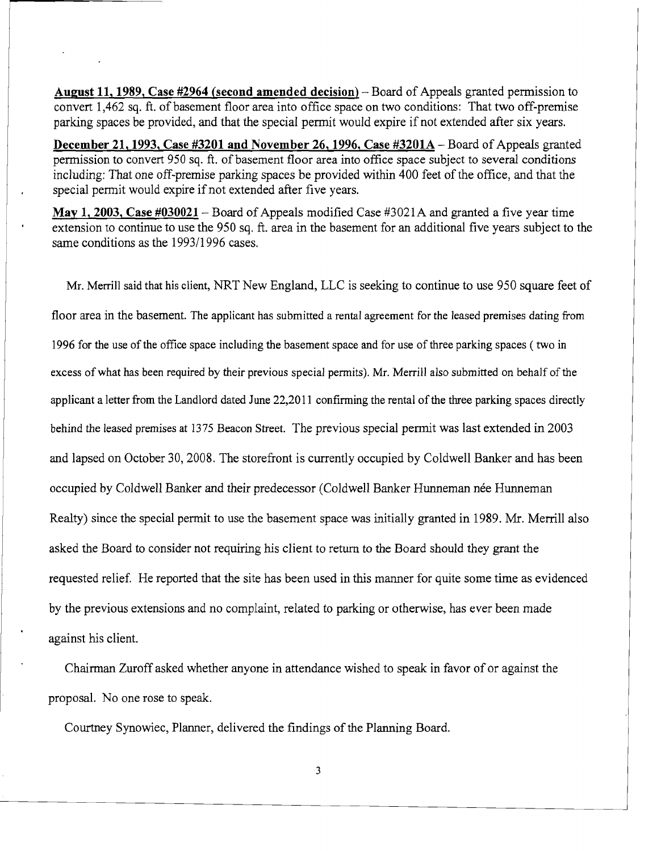**August 11, 1989, Case #2964 (second amended decision)** - Board of Appeals granted permission to convert 1,462 sq. ft. of basement floor area into office space on two conditions: That two off-premise parking spaces be provided, and that the special permit would expire if not extended after six years.

**December 21, 1993, Case #3201 and November 26, 1996, Case #3201A – Board of Appeals granted** permission to convert *950* sq. ft. of basement floor area into office space subject to several conditions including: That one off-premise parking spaces be provided within 400 feet of the office, and that the special permit would expire if not extended after five years.

**May 1, 2003, Case #030021-** Board of Appeals modified Case #3021A and granted a five year time extension to continue to use the 950 sq. ft. area in the basement for an additional five years subject to the same conditions as the 1993/1996 cases.

Mr. Merrill said that his client, NRT New England, LLC is seeking to continue to use 950 square feet of floor area in the basement. The applicant has submitted a rental agreement for the leased premises dating from 1996 for the use of the office space including the basement space and for use of three parking spaces ( two in excess ofwhat has been required by their previous special pennits). Mr. Merrill also submitted on behalf of the applicant a letter from the Landlord dated June 22,2011 confirming the rental of the three parking spaces directly behind the leased premises at 1375 Beacon Street. The previous special permit was last extended in 2003 and lapsed on October 30,2008. The storefront is currently occupied by Coldwell Banker and has been occupied by Coldwell Banker and their predecessor (Coldwell Banker Hunneman née Hunneman Realty) since the special permit to use the basement space was initially granted in 1989. Mr. Merrill also asked the Board to consider not requiring his client to return to the Board should they grant the requested relief. He reported that the site has been used in this manner for quite some time as evidenced by the previous extensions and no complaint, related to parking or otherwise, has ever been made against his client.

Chairman Zuroff asked whether anyone in attendance wished to speak in favor of or against the proposal. No one rose to speak.

Courtney Synowiec, Planner, delivered the findings of the Planning Board.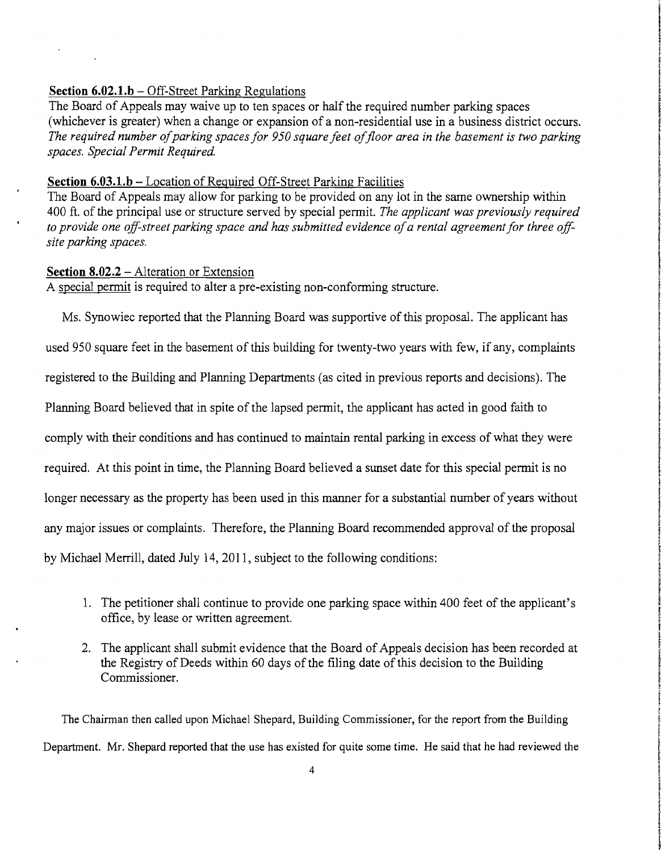# **Section 6.02.1.b** – Off-Street Parking Regulations

The Board of Appeals may waive up to ten spaces or half the required number parking spaces (whichever is greater) when a change or expansion of a non-residential use in a business district occurs. The required number of parking spaces for 950 square feet of floor area in the basement is two parking *spaces. Special Permit Required.* 

## **Section 6.03.l.b** - Location of Required Off-Street Parking Facilities

The Board of Appeals may allow for parking to be provided on any lot in the same ownership within 400 ft. of the principal use or structure served by special pennit. *The applicant was previously required to* provide one off-street parking space and has submitted evidence of a rental agreement for three off*site parking spaces.* 

### **Section 8.02.2 – Alteration or Extension**

A special permit is required to alter a pre-existing non-conforming structure.

Ms. Synowiec reported that the Planning Board was supportive of this proposal. The applicant has used 950 square feet in the basement of this building for twenty-two years with few, if any, complaints registered to the Building and Planning Departments (as cited in previous reports and decisions). The Planning Board believed that in spite of the lapsed pennit, the applicant has acted in good faith to comply with their conditions and has continued to maintain rental parking in excess of what they were required. At this point in time, the Planning Board believed a sunset date for this special permit is no longer necessary as the property has been used in this manner for a substantial number of years without any major issues or complaints. Therefore, the Planning Board recommended approval of the proposal by Michael Merrill, dated July 14, 2011, subject to the following conditions:

- 1. The petitioner shall continue to provide one parking space within 400 feet of the applicant's office, by lease or written agreement.
- 2. The applicant shall submit evidence that the Board of Appeals decision has been recorded at the Registry of Deeds within 60 days of the filing date of this decision to the Building Commissioner.

The Chairman then called upon Michael Shepard, Building Commissioner, for the report from the Building Department. Mr. Shepard reported that the use has existed for quite some time. He said that he had reviewed the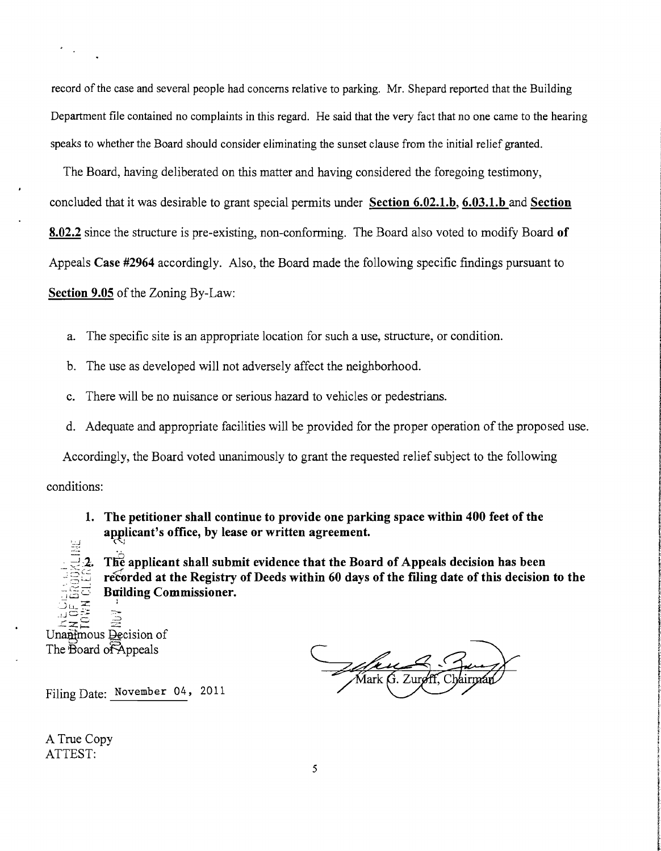record of the case and several people had concerns relative to parking. Mr. Shepard reported that the Building Department file contained no complaints in this regard. He said that the very fact that no one came to the hearing speaks to whether the Board should consider eliminating the sunset clause from the initial relief granted.

The Board, having deliberated on this matter and having considered the foregoing testimony, concluded that it was desirable to grant special permits under **Section 6.02.l.b, 6.03.l.b and Section 8.02.2** since the structure is pre-existing, non-conforming. The Board also voted to modify Board **of**  Appeals **Case #2964** accordingly. Also, the Board made the following specific findings pursuant to **Section 9.05** of the Zoning By-Law:

- a. The specific site is an appropriate location for such a use, structure, or condition.
- b. The use as developed will not adversely affect the neighborhood.
- c. There will be no nuisance or serious hazard to vehicles or pedestrians.
- d. Adequate and appropriate facilities will be provided for the proper operation of the proposed use.

Accordingly, the Board voted unanimously to grant the requested relief subject to the following conditions:

**1. The petitioner shall continue to provide one parking space within 400 feet of the**  applicant's office, by lease or written agreement.

The applicant shall submit evidence that the Board of Appeals decision has been recorded at the Registry of Deeds within 60 days of the filing date of this decision to the **Building Commissioner.** 

 $\Rightarrow$ Unanimous Decision of The Board of Appeals

<u>Jaku K</u>

Filing Date: November 04, 2011

A True Copy ATTEST: